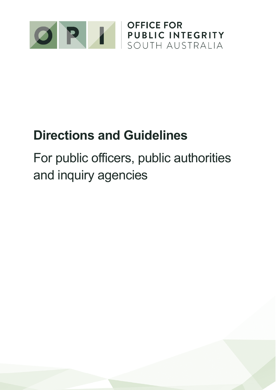

# **Directions and Guidelines**

For public officers, public authorities and inquiry agencies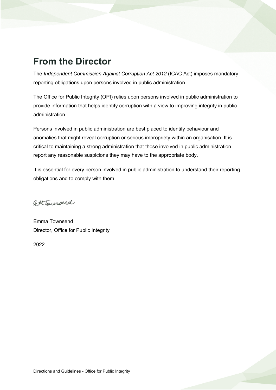## **From the Director**

The *Independent Commission Against Corruption Act 2012* (ICAC Act) imposes mandatory reporting obligations upon persons involved in public administration.

The Office for Public Integrity (OPI) relies upon persons involved in public administration to provide information that helps identify corruption with a view to improving integrity in public administration.

Persons involved in public administration are best placed to identify behaviour and anomalies that might reveal corruption or serious impropriety within an organisation. It is critical to maintaining a strong administration that those involved in public administration report any reasonable suspicions they may have to the appropriate body.

It is essential for every person involved in public administration to understand their reporting obligations and to comply with them.

fottbaurserd

Emma Townsend Director, Office for Public Integrity

2022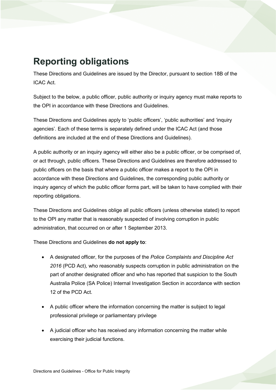# **Reporting obligations**

These Directions and Guidelines are issued by the Director, pursuant to section 18B of the ICAC Act.

Subject to the below, a public officer, public authority or inquiry agency must make reports to the OPI in accordance with these Directions and Guidelines.

These Directions and Guidelines apply to 'public officers', 'public authorities' and 'inquiry agencies'. Each of these terms is separately defined under the ICAC Act (and those definitions are included at the end of these Directions and Guidelines).

A public authority or an inquiry agency will either also be a public officer, or be comprised of, or act through, public officers. These Directions and Guidelines are therefore addressed to public officers on the basis that where a public officer makes a report to the OPI in accordance with these Directions and Guidelines, the corresponding public authority or inquiry agency of which the public officer forms part, will be taken to have complied with their reporting obligations.

These Directions and Guidelines oblige all public officers (unless otherwise stated) to report to the OPI any matter that is reasonably suspected of involving corruption in public administration, that occurred on or after 1 September 2013.

These Directions and Guidelines **do not apply to**:

- A designated officer, for the purposes of the *Police Complaints and Discipline Act 2016* (PCD Act), who reasonably suspects corruption in public administration on the part of another designated officer and who has reported that suspicion to the South Australia Police (SA Police) Internal Investigation Section in accordance with section 12 of the PCD Act.
- A public officer where the information concerning the matter is subject to legal professional privilege or parliamentary privilege
- A judicial officer who has received any information concerning the matter while exercising their judicial functions.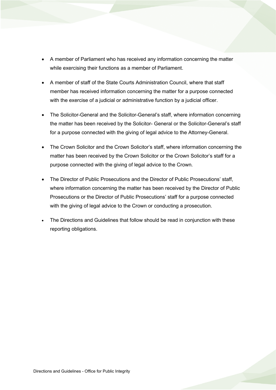- A member of Parliament who has received any information concerning the matter while exercising their functions as a member of Parliament.
- A member of staff of the State Courts Administration Council, where that staff member has received information concerning the matter for a purpose connected with the exercise of a judicial or administrative function by a judicial officer.
- The Solicitor-General and the Solicitor-General's staff, where information concerning the matter has been received by the Solicitor- General or the Solicitor-General's staff for a purpose connected with the giving of legal advice to the Attorney-General.
- The Crown Solicitor and the Crown Solicitor's staff, where information concerning the matter has been received by the Crown Solicitor or the Crown Solicitor's staff for a purpose connected with the giving of legal advice to the Crown.
- The Director of Public Prosecutions and the Director of Public Prosecutions' staff, where information concerning the matter has been received by the Director of Public Prosecutions or the Director of Public Prosecutions' staff for a purpose connected with the giving of legal advice to the Crown or conducting a prosecution.
- The Directions and Guidelines that follow should be read in conjunction with these reporting obligations.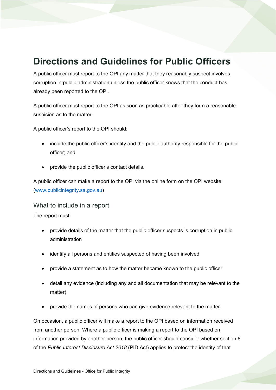### **Directions and Guidelines for Public Officers**

A public officer must report to the OPI any matter that they reasonably suspect involves corruption in public administration unless the public officer knows that the conduct has already been reported to the OPI.

A public officer must report to the OPI as soon as practicable after they form a reasonable suspicion as to the matter.

A public officer's report to the OPI should:

- include the public officer's identity and the public authority responsible for the public officer; and
- provide the public officer's contact details.

A public officer can make a report to the OPI via the online form on the OPI website: [\(www.publicintegrity.sa.gov.au\)](http://www.publicintegrity.sa.gov.au/)

#### What to include in a report

The report must:

- provide details of the matter that the public officer suspects is corruption in public administration
- identify all persons and entities suspected of having been involved
- provide a statement as to how the matter became known to the public officer
- detail any evidence (including any and all documentation that may be relevant to the matter)
- provide the names of persons who can give evidence relevant to the matter.

On occasion, a public officer will make a report to the OPI based on information received from another person. Where a public officer is making a report to the OPI based on information provided by another person, the public officer should consider whether section 8 of the *Public Interest Disclosure Act 2018* (PID Act) applies to protect the identity of that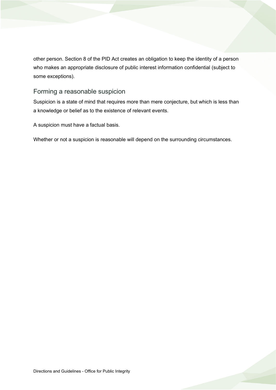other person. Section 8 of the PID Act creates an obligation to keep the identity of a person who makes an appropriate disclosure of public interest information confidential (subject to some exceptions).

#### Forming a reasonable suspicion

Suspicion is a state of mind that requires more than mere conjecture, but which is less than a knowledge or belief as to the existence of relevant events.

A suspicion must have a factual basis.

Whether or not a suspicion is reasonable will depend on the surrounding circumstances.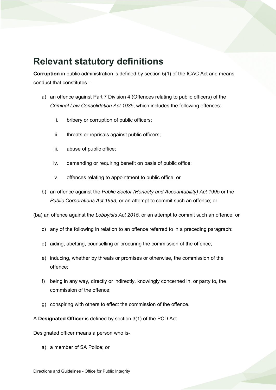### **Relevant statutory definitions**

**Corruption** in public administration is defined by section 5(1) of the ICAC Act and means conduct that constitutes –

- a) an offence against Part 7 Division 4 (Offences relating to public officers) of the *Criminal Law Consolidation Act 1935*, which includes the following offences:
	- i. bribery or corruption of public officers;
	- ii. threats or reprisals against public officers;
	- iii. abuse of public office;
	- iv. demanding or requiring benefit on basis of public office;
	- v. offences relating to appointment to public office; or
- b) an offence against the *Public Sector (Honesty and Accountability) Act 1995* or the *Public Corporations Act 1993*, or an attempt to commit such an offence; or

(ba) an offence against the *Lobbyists Act 2015*, or an attempt to commit such an offence; or

- c) any of the following in relation to an offence referred to in a preceding paragraph:
- d) aiding, abetting, counselling or procuring the commission of the offence;
- e) inducing, whether by threats or promises or otherwise, the commission of the offence;
- f) being in any way, directly or indirectly, knowingly concerned in, or party to, the commission of the offence;
- g) conspiring with others to effect the commission of the offence.

A **Designated Officer** is defined by section 3(1) of the PCD Act.

Designated officer means a person who is-

a) a member of SA Police; or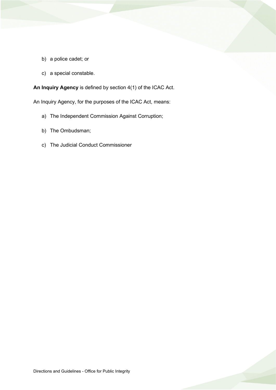- b) a police cadet; or
- c) a special constable.

**An Inquiry Agency** is defined by section 4(1) of the ICAC Act.

An Inquiry Agency, for the purposes of the ICAC Act, means:

- a) The Independent Commission Against Corruption;
- b) The Ombudsman;
- c) The Judicial Conduct Commissioner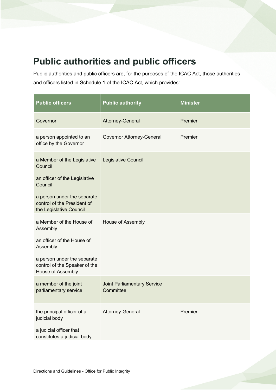# **Public authorities and public officers**

Public authorities and public officers are, for the purposes of the ICAC Act, those authorities and officers listed in Schedule 1 of the ICAC Act, which provides:

| <b>Public officers</b>                                                                                | <b>Public authority</b>                         | <b>Minister</b> |
|-------------------------------------------------------------------------------------------------------|-------------------------------------------------|-----------------|
| Governor                                                                                              | Attorney-General                                | Premier         |
| a person appointed to an<br>office by the Governor                                                    | Governor Attorney-General                       | Premier         |
| a Member of the Legislative<br>Council                                                                | Legislative Council                             |                 |
| an officer of the Legislative<br>Council                                                              |                                                 |                 |
| a person under the separate<br>control of the President of<br>the Legislative Council                 |                                                 |                 |
| a Member of the House of<br>Assembly                                                                  | House of Assembly                               |                 |
| an officer of the House of<br>Assembly                                                                |                                                 |                 |
| a person under the separate<br>control of the Speaker of the<br>House of Assembly                     |                                                 |                 |
| a member of the joint<br>parliamentary service                                                        | <b>Joint Parliamentary Service</b><br>Committee |                 |
| the principal officer of a<br>judicial body<br>a judicial officer that<br>constitutes a judicial body | Attorney-General                                | Premier         |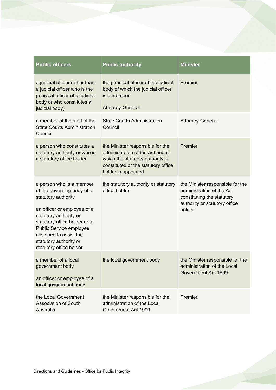| <b>Public officers</b>                                                                                                                                                                                                                                                           | <b>Public authority</b>                                                                                                                                               | <b>Minister</b>                                                                                                                        |
|----------------------------------------------------------------------------------------------------------------------------------------------------------------------------------------------------------------------------------------------------------------------------------|-----------------------------------------------------------------------------------------------------------------------------------------------------------------------|----------------------------------------------------------------------------------------------------------------------------------------|
| a judicial officer (other than<br>a judicial officer who is the<br>principal officer of a judicial<br>body or who constitutes a<br>judicial body)                                                                                                                                | the principal officer of the judicial<br>body of which the judicial officer<br>is a member<br><b>Attorney-General</b>                                                 | Premier                                                                                                                                |
| a member of the staff of the<br><b>State Courts Administration</b><br>Council                                                                                                                                                                                                    | <b>State Courts Administration</b><br>Council                                                                                                                         | Attorney-General                                                                                                                       |
| a person who constitutes a<br>statutory authority or who is<br>a statutory office holder                                                                                                                                                                                         | the Minister responsible for the<br>administration of the Act under<br>which the statutory authority is<br>constituted or the statutory office<br>holder is appointed | Premier                                                                                                                                |
| a person who is a member<br>of the governing body of a<br>statutory authority<br>an officer or employee of a<br>statutory authority or<br>statutory office holder or a<br>Public Service employee<br>assigned to assist the<br>statutory authority or<br>statutory office holder | the statutory authority or statutory<br>office holder                                                                                                                 | the Minister responsible for the<br>administration of the Act<br>constituting the statutory<br>authority or statutory office<br>holder |
| a member of a local<br>government body<br>an officer or employee of a<br>local government body                                                                                                                                                                                   | the local government body                                                                                                                                             | the Minister responsible for the<br>administration of the Local<br>Government Act 1999                                                 |
| the Local Government<br><b>Association of South</b><br>Australia                                                                                                                                                                                                                 | the Minister responsible for the<br>administration of the Local<br>Government Act 1999                                                                                | Premier                                                                                                                                |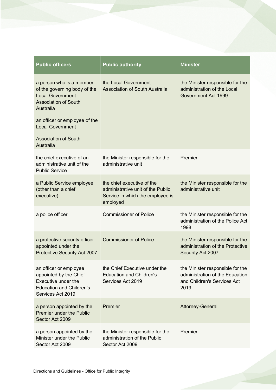| <b>Public officers</b>                                                                                                                                           | <b>Public authority</b>                                                                                         | <b>Minister</b>                                                                                            |
|------------------------------------------------------------------------------------------------------------------------------------------------------------------|-----------------------------------------------------------------------------------------------------------------|------------------------------------------------------------------------------------------------------------|
| a person who is a member<br>of the governing body of the<br><b>Local Government</b><br><b>Association of South</b><br>Australia<br>an officer or employee of the | the Local Government<br><b>Association of South Australia</b>                                                   | the Minister responsible for the<br>administration of the Local<br>Government Act 1999                     |
| <b>Local Government</b><br><b>Association of South</b><br>Australia                                                                                              |                                                                                                                 |                                                                                                            |
| the chief executive of an<br>administrative unit of the<br><b>Public Service</b>                                                                                 | the Minister responsible for the<br>administrative unit                                                         | Premier                                                                                                    |
| a Public Service employee<br>(other than a chief<br>executive)                                                                                                   | the chief executive of the<br>administrative unit of the Public<br>Service in which the employee is<br>employed | the Minister responsible for the<br>administrative unit                                                    |
| a police officer                                                                                                                                                 | <b>Commissioner of Police</b>                                                                                   | the Minister responsible for the<br>administration of the Police Act<br>1998                               |
| a protective security officer<br>appointed under the<br><b>Protective Security Act 2007</b>                                                                      | <b>Commissioner of Police</b>                                                                                   | the Minister responsible for the<br>administration of the Protective<br>Security Act 2007                  |
| an officer or employee<br>appointed by the Chief<br>Executive under the<br><b>Education and Children's</b><br>Services Act 2019                                  | the Chief Executive under the<br><b>Education and Children's</b><br>Services Act 2019                           | the Minister responsible for the<br>administration of the Education<br>and Children's Services Act<br>2019 |
| a person appointed by the<br><b>Premier under the Public</b><br>Sector Act 2009                                                                                  | Premier                                                                                                         | <b>Attorney-General</b>                                                                                    |
| a person appointed by the<br>Minister under the Public<br>Sector Act 2009                                                                                        | the Minister responsible for the<br>administration of the Public<br>Sector Act 2009                             | Premier                                                                                                    |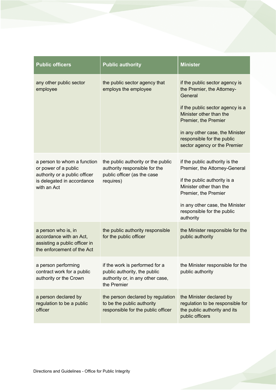| <b>Public officers</b>                                                                                                            | <b>Public authority</b>                                                                                           | <b>Minister</b>                                                                                                 |
|-----------------------------------------------------------------------------------------------------------------------------------|-------------------------------------------------------------------------------------------------------------------|-----------------------------------------------------------------------------------------------------------------|
| any other public sector<br>employee                                                                                               | the public sector agency that<br>employs the employee                                                             | if the public sector agency is<br>the Premier, the Attorney-<br>General                                         |
|                                                                                                                                   |                                                                                                                   | if the public sector agency is a<br>Minister other than the<br>Premier, the Premier                             |
|                                                                                                                                   |                                                                                                                   | in any other case, the Minister<br>responsible for the public<br>sector agency or the Premier                   |
| a person to whom a function<br>or power of a public<br>authority or a public officer<br>is delegated in accordance<br>with an Act | the public authority or the public<br>authority responsible for the<br>public officer (as the case<br>requires)   | if the public authority is the<br>Premier, the Attorney-General                                                 |
|                                                                                                                                   |                                                                                                                   | if the public authority is a<br>Minister other than the<br>Premier, the Premier                                 |
|                                                                                                                                   |                                                                                                                   | in any other case, the Minister<br>responsible for the public<br>authority                                      |
| a person who is, in<br>accordance with an Act,<br>assisting a public officer in<br>the enforcement of the Act                     | the public authority responsible<br>for the public officer                                                        | the Minister responsible for the<br>public authority                                                            |
| a person performing<br>contract work for a public<br>authority or the Crown                                                       | if the work is performed for a<br>public authority, the public<br>authority or, in any other case,<br>the Premier | the Minister responsible for the<br>public authority                                                            |
| a person declared by<br>regulation to be a public<br>officer                                                                      | the person declared by regulation<br>to be the public authority<br>responsible for the public officer             | the Minister declared by<br>regulation to be responsible for<br>the public authority and its<br>public officers |